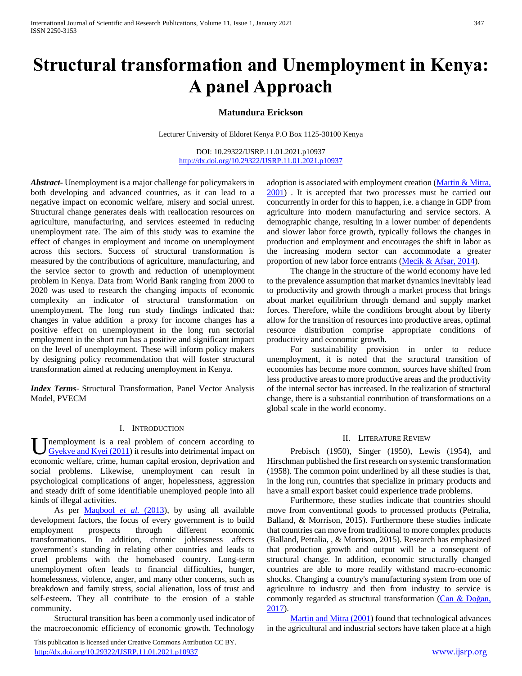# **Structural transformation and Unemployment in Kenya: A panel Approach**

# **Matundura Erickson**

Lecturer University of Eldoret Kenya P.O Box 1125-30100 Kenya

DOI: 10.29322/IJSRP.11.01.2021.p10937 <http://dx.doi.org/10.29322/IJSRP.11.01.2021.p10937>

*Abstract***-** Unemployment is a major challenge for policymakers in both developing and advanced countries, as it can lead to a negative impact on economic welfare, misery and social unrest. Structural change generates deals with reallocation resources on agriculture, manufacturing, and services esteemed in reducing unemployment rate. The aim of this study was to examine the effect of changes in employment and income on unemployment across this sectors. Success of structural transformation is measured by the contributions of agriculture, manufacturing, and the service sector to growth and reduction of unemployment problem in Kenya. Data from World Bank ranging from 2000 to 2020 was used to research the changing impacts of economic complexity an indicator of structural transformation on unemployment. The long run study findings indicated that: changes in value addition a proxy for income changes has a positive effect on unemployment in the long run sectorial employment in the short run has a positive and significant impact on the level of unemployment. These will inform policy makers by designing policy recommendation that will foster structural transformation aimed at reducing unemployment in Kenya.

*Index Terms*- Structural Transformation, Panel Vector Analysis Model, PVECM

## I. INTRODUCTION

nemployment is a real problem of concern according to Gyekye and Kyei (2011) it results into detrimental impact on **U** nemployment is a real problem of concern according to Gyekye and Kyei (2011) it results into detrimental impact on economic welfare, crime, human capital erosion, deprivation and social problems. Likewise, unemployment can result in psychological complications of anger, hopelessness, aggression and steady drift of some identifiable unemployed people into all kinds of illegal activities.

As per **Maqbool** *et al.* (2013), by using all available development factors, the focus of every government is to build employment prospects through different economic transformations. In addition, chronic joblessness affects government's standing in relating other countries and leads to cruel problems with the homebased country. Long-term unemployment often leads to financial difficulties, hunger, homelessness, violence, anger, and many other concerns, such as breakdown and family stress, social alienation, loss of trust and self-esteem. They all contribute to the erosion of a stable community.

 Structural transition has been a commonly used indicator of the macroeconomic efficiency of economic growth. Technology

 This publication is licensed under Creative Commons Attribution CC BY. <http://dx.doi.org/10.29322/IJSRP.11.01.2021.p10937> [www.ijsrp.org](http://ijsrp.org/)

adoption is associated with employment creation (Martin & Mitra, 2001) . It is accepted that two processes must be carried out concurrently in order for this to happen, i.e. a change in GDP from agriculture into modern manufacturing and service sectors. A demographic change, resulting in a lower number of dependents and slower labor force growth, typically follows the changes in production and employment and encourages the shift in labor as the increasing modern sector can accommodate a greater proportion of new labor force entrants (Mecik & Afsar, 2014).

 The change in the structure of the world economy have led to the prevalence assumption that market dynamics inevitably lead to productivity and growth through a market process that brings about market equilibrium through demand and supply market forces. Therefore, while the conditions brought about by liberty allow for the transition of resources into productive areas, optimal resource distribution comprise appropriate conditions of productivity and economic growth.

 For sustainability provision in order to reduce unemployment, it is noted that the structural transition of economies has become more common, sources have shifted from less productive areas to more productive areas and the productivity of the internal sector has increased. In the realization of structural change, there is a substantial contribution of transformations on a global scale in the world economy.

## II. LITERATURE REVIEW

 Prebisch (1950), Singer (1950), Lewis (1954), and Hirschman published the first research on systemic transformation (1958). The common point underlined by all these studies is that, in the long run, countries that specialize in primary products and have a small export basket could experience trade problems.

 Furthermore, these studies indicate that countries should move from conventional goods to processed products (Petralia, Balland, & Morrison, 2015). Furthermore these studies indicate that countries can move from traditional to more complex products (Balland, Petralia, , & Morrison, 2015). Research has emphasized that production growth and output will be a consequent of structural change. In addition, economic structurally changed countries are able to more readily withstand macro-economic shocks. Changing a country's manufacturing system from one of agriculture to industry and then from industry to service is commonly regarded as structural transformation (Can & Doğan, 2017).

 Martin and Mitra (2001) found that technological advances in the agricultural and industrial sectors have taken place at a high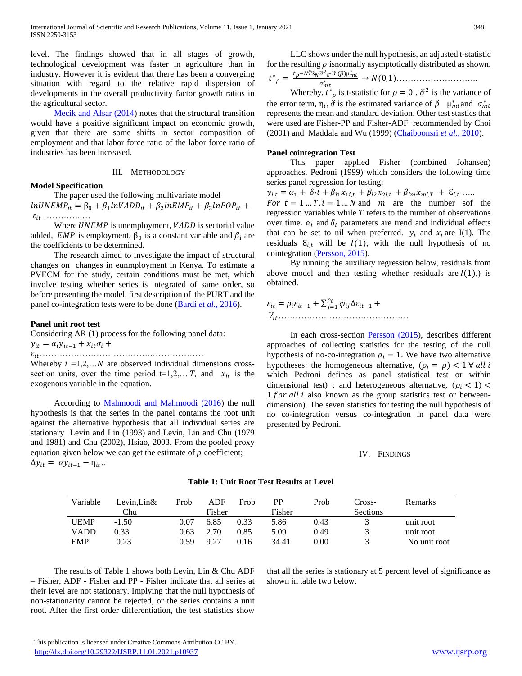level. The findings showed that in all stages of growth, technological development was faster in agriculture than in industry. However it is evident that there has been a converging situation with regard to the relative rapid dispersion of developments in the overall productivity factor growth ratios in the agricultural sector.

Mecik and Afsar (2014) notes that the structural transition would have a positive significant impact on economic growth, given that there are some shifts in sector composition of employment and that labor force ratio of the labor force ratio of industries has been increased.

## III. METHODOLOGY

## **Model Specification**

 The paper used the following multivariate model  $ln UNEMP_{it} = \beta_0 + \beta_1 lnVADD_{it} + \beta_2 lnEMP_{it} + \beta_3 lnPOP_{it} +$  $\varepsilon_{it}$  ………………

Where  $UNEMP$  is unemployment,  $VADD$  is sectorial value added, *EMP* is employment,  $\beta_0$  is a constant variable and  $\beta_i$  are the coefficients to be determined.

 The research aimed to investigate the impact of structural changes on changes in eunmployment in Kenya. To estimate a PVECM for the study, certain conditions must be met, which involve testing whether series is integrated of same order, so before presenting the model, first description of the PURT and the panel co-integration tests were to be done (Bardi *et al.*, 2016).

## **Panel unit root test**

Considering AR (1) process for the following panel data:

 $y_{it} = \alpha_i y_{it-1} + x_{it} \sigma_i +$ 

………………………………….………………

Whereby  $i = 1, 2, \ldots N$  are observed individual dimensions crosssection units, over the time period  $t=1,2,...,T$ , and  $x_{it}$  is the exogenous variable in the equation.

 According to Mahmoodi and Mahmoodi (2016) the null hypothesis is that the series in the panel contains the root unit against the alternative hypothesis that all individual series are stationary Levin and Lin (1993) and Levin, Lin and Chu (1979 and 1981) and Chu (2002), Hsiao, 2003. From the pooled proxy equation given below we can get the estimate of  $\rho$  coefficient;  $\Delta y_{it} = \alpha y_{it-1} - \eta_{it}$ .

 LLC shows under the null hypothesis, an adjusted t-statistic for the resulting  $\rho$  isnormally asymptotically distributed as shown. ∗  $t_{\rho}$ –NŤṡ<sub>N</sub>ŏ<sup>2</sup> $_{\widetilde{\varepsilon}}$ ŏ ( $\widetilde{\rho}$ )µ $_{mt}^*$ 

 = <sup>∗</sup> → (0,1)………………………..

Whereby,  $t^*_{\rho}$  is t-statistic for  $\rho = 0$ ,  $\check{\sigma}^2$  is the variance of the error term,  $\eta_i$ ,  $\check{\sigma}$  is the estimated variance of  $\check{\rho}$   $\mu_{mt}^*$  and  $\sigma_{mt}^*$ represents the mean and standard deviation. Other test stastics that were used are Fisher-PP and Fisher-ADF recommended by Choi (2001) and Maddala and Wu (1999) (Chaiboonsri *et al.*, 2010).

#### **Panel cointegration Test**

 This paper applied Fisher (combined Johansen) approaches. Pedroni (1999) which considers the following time series panel regression for testing;

$$
y_{i,t} = \alpha_1 + \delta_i t + \beta_{i1} x_{1i,t} + \beta_{i2} x_{2i,t} + \beta_{im} x_{mi,T} + \varepsilon_{i,t} \dots
$$

For  $t = 1 ... T$ ,  $i = 1 ... N$  and  $m$  are the number sof the regression variables while  $T$  refers to the number of observations over time.  $\alpha_i$  and  $\delta_i$  parameters are trend and individual effects that can be set to nil when preferred.  $y_i$  and  $x_i$  are I(1). The residuals  $\mathcal{E}_{i,t}$  will be  $I(1)$ , with the null hypothesis of no cointegration (Persson, 2015).

 By running the auxiliary regression below, residuals from above model and then testing whether residuals are  $I(1)$ , is obtained.

 = −1 + ∑ ∆−1 =1 + ……………………………………….

 In each cross-section Persson (2015), describes different approaches of collecting statistics for the testing of the null hypothesis of no-co-integration  $\rho_i = 1$ . We have two alternative hypotheses: the homogeneous alternative,  $(\rho_i = \rho) < 1 \forall$  all i which Pedroni defines as panel statistical test or within dimensional test) ; and heterogeneous alternative,  $(\rho_i < 1)$  $1$  for all i also known as the group statistics test or betweendimension). The seven statistics for testing the null hypothesis of no co-integration versus co-integration in panel data were presented by Pedroni.

#### IV. FINDINGS

| Variable    | Levin.Lin $\&$ | Prob | ADF    | Prob | <b>PP</b> | Prob | Cross-          | <b>Remarks</b> |
|-------------|----------------|------|--------|------|-----------|------|-----------------|----------------|
|             | Chu            |      | Fisher |      | Fisher    |      | <b>Sections</b> |                |
| <b>UEMP</b> | $-1.50$        | 0.07 | 6.85   | 0.33 | 5.86      | 0.43 |                 | unit root      |
| VADD        | 0.33           | 0.63 | 2.70   | 0.85 | 5.09      | 0.49 |                 | unit root      |
| <b>EMP</b>  | 0.23           | 0.59 | 9.27   | 0.16 | 34.41     | 0.00 |                 | No unit root   |

## **Table 1: Unit Root Test Results at Level**

 The results of Table 1 shows both Levin, Lin & Chu ADF – Fisher, ADF - Fisher and PP - Fisher indicate that all series at their level are not stationary. Implying that the null hypothesis of non-stationarity cannot be rejected, or the series contains a unit root. After the first order differentiation, the test statistics show

that all the series is stationary at 5 percent level of significance as shown in table two below.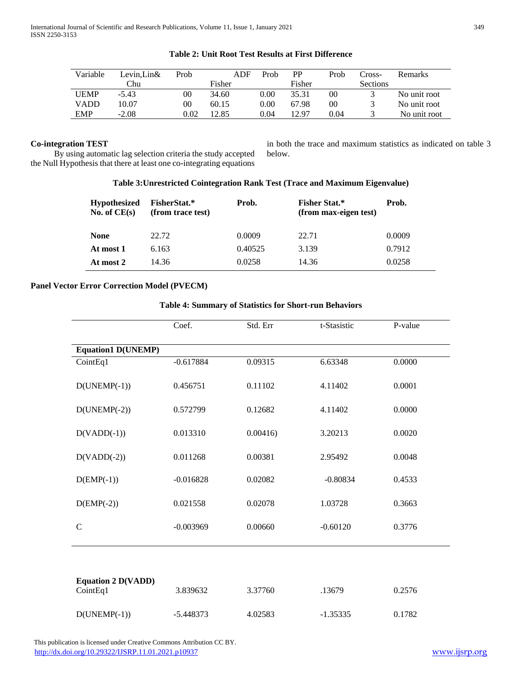| Variable    | Levin.Lin& | Prob | ADF    | Prob     | PP     | Prob | Cross-          | <b>Remarks</b> |
|-------------|------------|------|--------|----------|--------|------|-----------------|----------------|
|             | Chu        |      | Fisher |          | Fisher |      | <b>Sections</b> |                |
| <b>UEMP</b> | $-5.43$    | 00   | 34.60  | $0.00\,$ | 35.31  | 00   |                 | No unit root   |
| VADD        | 10.07      | 00   | 60.15  | $0.00\,$ | 67.98  | 00   |                 | No unit root   |
| <b>EMP</b>  | $-2.08$    | 0.02 | 12.85  | 0.04     | 12.97  | 0.04 |                 | No unit root   |

# **Table 2: Unit Root Test Results at First Difference**

# **Co-integration TEST**

 By using automatic lag selection criteria the study accepted the Null Hypothesis that there at least one co-integrating equations in both the trace and maximum statistics as indicated on table 3 below.

# **Table 3:Unrestricted Cointegration Rank Test (Trace and Maximum Eigenvalue)**

| <b>Hypothesized</b><br>No. of $CE(s)$ | <b>FisherStat.*</b><br>(from trace test) | Prob.   | <b>Fisher Stat.*</b><br>(from max-eigen test) | Prob.  |
|---------------------------------------|------------------------------------------|---------|-----------------------------------------------|--------|
| <b>None</b>                           | 22.72                                    | 0.0009  | 22.71                                         | 0.0009 |
| At most 1                             | 6.163                                    | 0.40525 | 3.139                                         | 0.7912 |
| At most 2                             | 14.36                                    | 0.0258  | 14.36                                         | 0.0258 |

## **Panel Vector Error Correction Model (PVECM)**

## **Table 4: Summary of Statistics for Short-run Behaviors**

|                                       | Coef.       | Std. Err | t-Stasistic | P-value |
|---------------------------------------|-------------|----------|-------------|---------|
| <b>Equation1 D(UNEMP)</b>             |             |          |             |         |
| CointEq1                              | $-0.617884$ | 0.09315  | 6.63348     | 0.0000  |
| $D(UNEMP(-1))$                        | 0.456751    | 0.11102  | 4.11402     | 0.0001  |
| $D(UNEMP(-2))$                        | 0.572799    | 0.12682  | 4.11402     | 0.0000  |
| $D(VADD(-1))$                         | 0.013310    | 0.00416  | 3.20213     | 0.0020  |
| $D(VADD(-2))$                         | 0.011268    | 0.00381  | 2.95492     | 0.0048  |
| $D(\text{EMP}(-1))$                   | $-0.016828$ | 0.02082  | $-0.80834$  | 0.4533  |
| $D(\text{EMP}(-2))$                   | 0.021558    | 0.02078  | 1.03728     | 0.3663  |
| $\mathbf C$                           | $-0.003969$ | 0.00660  | $-0.60120$  | 0.3776  |
|                                       |             |          |             |         |
| <b>Equation 2 D(VADD)</b><br>CointEq1 | 3.839632    | 3.37760  | .13679      | 0.2576  |
| $D(UNEMP(-1))$                        | $-5.448373$ | 4.02583  | $-1.35335$  | 0.1782  |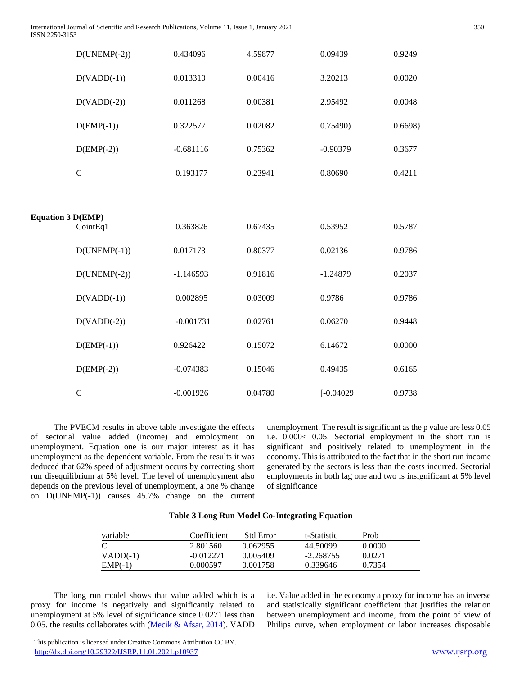|                          | $D(UNEMP(-2))$      | 0.434096    | 4.59877 | 0.09439      | 0.9249 |
|--------------------------|---------------------|-------------|---------|--------------|--------|
|                          | $D(VADD(-1))$       | 0.013310    | 0.00416 | 3.20213      | 0.0020 |
|                          | $D(VADD(-2))$       | 0.011268    | 0.00381 | 2.95492      | 0.0048 |
|                          | $D(\text{EMP}(-1))$ | 0.322577    | 0.02082 | 0.75490      | 0.6698 |
|                          | $D(\text{EMP}(-2))$ | $-0.681116$ | 0.75362 | $-0.90379$   | 0.3677 |
|                          | $\mathbf C$         | 0.193177    | 0.23941 | 0.80690      | 0.4211 |
|                          |                     |             |         |              |        |
| <b>Equation 3 D(EMP)</b> | CointEq1            | 0.363826    | 0.67435 | 0.53952      | 0.5787 |
|                          | $D(UNEMP(-1))$      | 0.017173    | 0.80377 | 0.02136      | 0.9786 |
|                          | $D(UNEMP(-2))$      | $-1.146593$ | 0.91816 | $-1.24879$   | 0.2037 |
|                          | $D(VADD(-1))$       | 0.002895    | 0.03009 | 0.9786       | 0.9786 |
|                          | $D(VADD(-2))$       | $-0.001731$ | 0.02761 | 0.06270      | 0.9448 |
|                          | $D(\text{EMP}(-1))$ | 0.926422    | 0.15072 | 6.14672      | 0.0000 |
|                          | $D(\text{EMP}(-2))$ | $-0.074383$ | 0.15046 | 0.49435      | 0.6165 |
|                          | $\mathsf C$         | $-0.001926$ | 0.04780 | $[-0.04029]$ | 0.9738 |
|                          |                     |             |         |              |        |

 The PVECM results in above table investigate the effects of sectorial value added (income) and employment on unemployment. Equation one is our major interest as it has unemployment as the dependent variable. From the results it was deduced that 62% speed of adjustment occurs by correcting short run disequilibrium at 5% level. The level of unemployment also depends on the previous level of unemployment, a one % change on D(UNEMP(-1)) causes 45.7% change on the current

unemployment. The result is significant as the p value are less 0.05 i.e. 0.000< 0.05. Sectorial employment in the short run is significant and positively related to unemployment in the economy. This is attributed to the fact that in the short run income generated by the sectors is less than the costs incurred. Sectorial employments in both lag one and two is insignificant at 5% level of significance

| variable   | Coefficient | <b>Std Error</b> | t-Statistic | Prob   |  |
|------------|-------------|------------------|-------------|--------|--|
| C          | 2.801560    | 0.062955         | 44.50099    | 0.0000 |  |
| $VADD(-1)$ | $-0.012271$ | 0.005409         | $-2.268755$ | 0.0271 |  |
| $EMP(-1)$  | 0.000597    | 0.001758         | 0.339646    | 0.7354 |  |

 The long run model shows that value added which is a proxy for income is negatively and significantly related to unemployment at 5% level of significance since 0.0271 less than 0.05. the results collaborates with  $(Mecik \& Afsar, 2014)$ . VADD i.e. Value added in the economy a proxy for income has an inverse and statistically significant coefficient that justifies the relation between unemployment and income, from the point of view of Philips curve, when employment or labor increases disposable